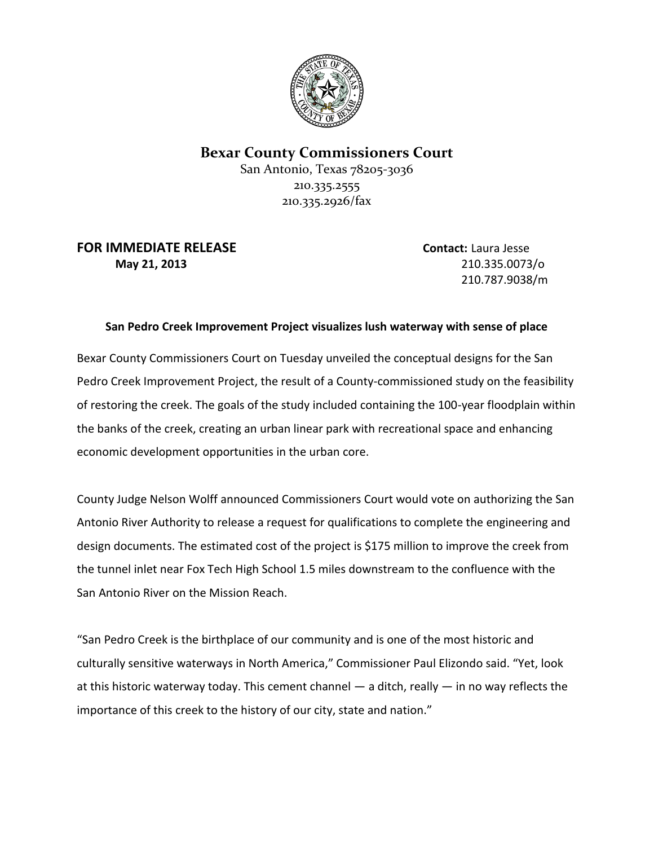

## **Bexar County Commissioners Court**

San Antonio, Texas 78205-3036 210.335.2555 210.335.2926/fax

**FOR IMMEDIATE RELEASE Contact:** Laura Jesse

**May 21, 2013** 210.335.0073/o 210.787.9038/m

## **San Pedro Creek Improvement Project visualizes lush waterway with sense of place**

Bexar County Commissioners Court on Tuesday unveiled the conceptual designs for the San Pedro Creek Improvement Project, the result of a County-commissioned study on the feasibility of restoring the creek. The goals of the study included containing the 100-year floodplain within the banks of the creek, creating an urban linear park with recreational space and enhancing economic development opportunities in the urban core.

County Judge Nelson Wolff announced Commissioners Court would vote on authorizing the San Antonio River Authority to release a request for qualifications to complete the engineering and design documents. The estimated cost of the project is \$175 million to improve the creek from the tunnel inlet near Fox Tech High School 1.5 miles downstream to the confluence with the San Antonio River on the Mission Reach.

"San Pedro Creek is the birthplace of our community and is one of the most historic and culturally sensitive waterways in North America," Commissioner Paul Elizondo said. "Yet, look at this historic waterway today. This cement channel  $-$  a ditch, really  $-$  in no way reflects the importance of this creek to the history of our city, state and nation."